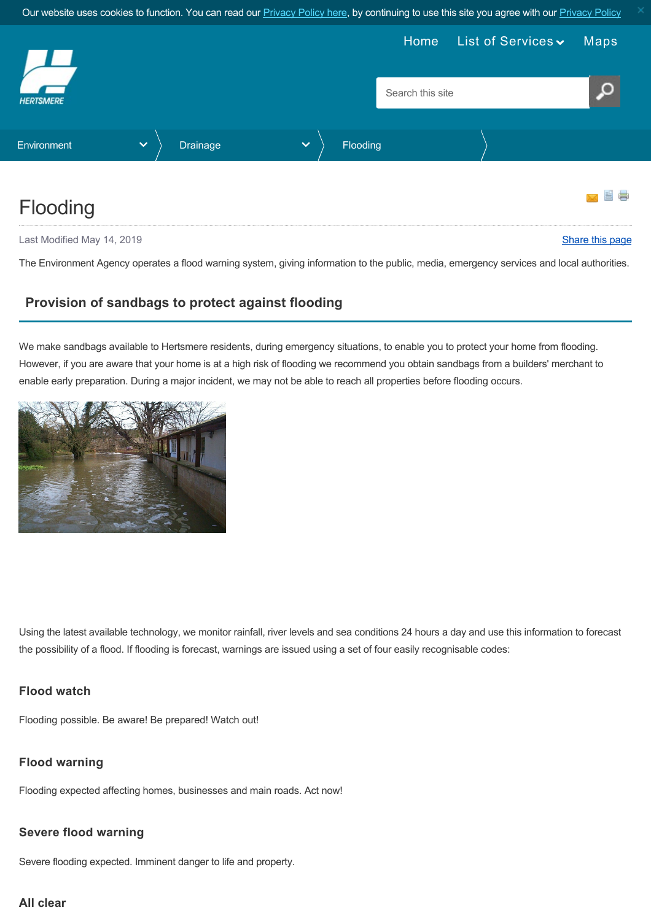Our website uses cookies to function. You can read our [Privacy Policy here](https://www.hertsmere.gov.uk/Privacy--Cookies.aspx), by continuing to use this site you agree with our [Privacy Policy](https://www.hertsmere.gov.uk/Privacy--Cookies.aspx)

<span id="page-0-0"></span>

Last Modified May 14, 2019 **[Share this page](http://www.addthis.com/bookmark.php?v=250&pubid=xa-502e5fd570edcb1e) 12.2 Share this page 12.2 Share this page 12.3 Share this page 12.3 Share this page 12.3 Share this page 12.4 Share this page 12.4 Share this page 12.4 Share this page 12.4 Share** 

The Environment Agency operates a flood warning system, giving information to the public, media, emergency services and local authorities.

# **Provision of sandbags to protect against flooding**

We make sandbags available to Hertsmere residents, during emergency situations, to enable you to protect your home from flooding. However, if you are aware that your home is at a high risk of flooding we recommend you obtain sandbags from a builders' merchant to enable early preparation. During a major incident, we may not be able to reach all properties before flooding occurs.



Using the latest available technology, we monitor rainfall, river levels and sea conditions 24 hours a day and use this information to forecast the possibility of a flood. If flooding is forecast, warnings are issued using a set of four easily recognisable codes:

### **Flood watch**

Flooding possible. Be aware! Be prepared! Watch out!

### **Flood warning**

Flooding expected affecting homes, businesses and main roads. Act now!

### **Severe flood warning**

Severe flooding expected. Imminent danger to life and property.

### **All clear**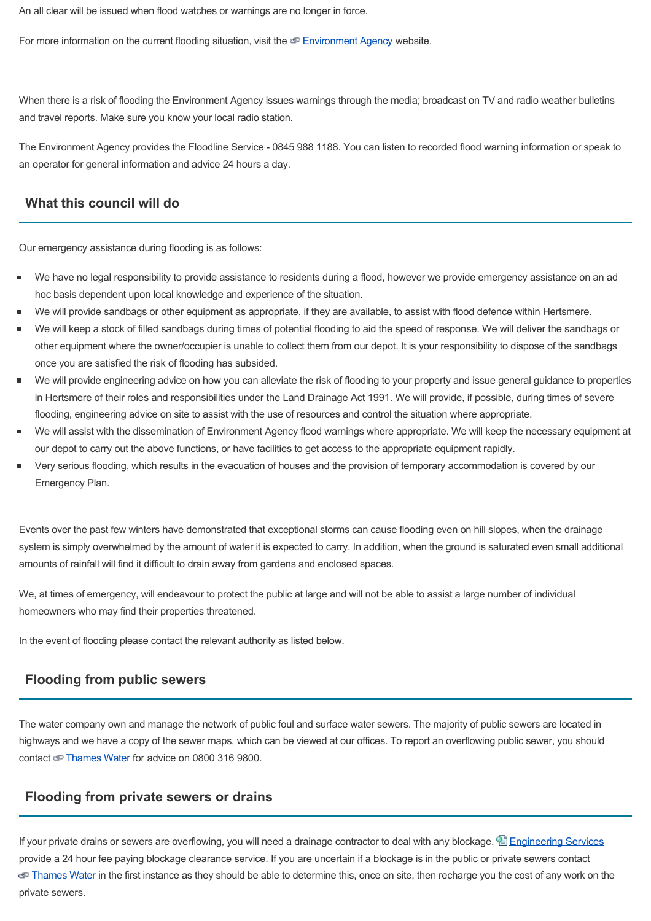An all clear will be issued when flood watches or warnings are no longer in force.

For more information on the current flooding situation, visit the [Environment Agency](http://www.environment-agency.gov.uk/subjects/flood/floodwarning/) website.

When there is a risk of flooding the Environment Agency issues warnings through the media; broadcast on TV and radio weather bulletins and travel reports. Make sure you know your local radio station.

The Environment Agency provides the Floodline Service - 0845 988 1188. You can listen to recorded flood warning information or speak to an operator for general information and advice 24 hours a day.

## **What this council will do**

Our emergency assistance during flooding is as follows:

- We have no legal responsibility to provide assistance to residents during a flood, however we provide emergency assistance on an ad hoc basis dependent upon local knowledge and experience of the situation.
- We will provide sandbags or other equipment as appropriate, if they are available, to assist with flood defence within Hertsmere.
- We will keep a stock of filled sandbags during times of potential flooding to aid the speed of response. We will deliver the sandbags or other equipment where the owner/occupier is unable to collect them from our depot. It is your responsibility to dispose of the sandbags once you are satisfied the risk of flooding has subsided.
- We will provide engineering advice on how you can alleviate the risk of flooding to your property and issue general guidance to properties in Hertsmere of their roles and responsibilities under the Land Drainage Act 1991. We will provide, if possible, during times of severe flooding, engineering advice on site to assist with the use of resources and control the situation where appropriate.
- We will assist with the dissemination of Environment Agency flood warnings where appropriate. We will keep the necessary equipment at our depot to carry out the above functions, or have facilities to get access to the appropriate equipment rapidly.
- Very serious flooding, which results in the evacuation of houses and the provision of temporary accommodation is covered by our Emergency Plan.

Events over the past few winters have demonstrated that exceptional storms can cause flooding even on hill slopes, when the drainage system is simply overwhelmed by the amount of water it is expected to carry. In addition, when the ground is saturated even small additional amounts of rainfall will find it difficult to drain away from gardens and enclosed spaces.

We, at times of emergency, will endeavour to protect the public at large and will not be able to assist a large number of individual homeowners who may find their properties threatened.

In the event of flooding please contact the relevant authority as listed below.

### **Flooding from public sewers**

The water company own and manage the network of public foul and surface water sewers. The majority of public sewers are located in highways and we have a copy of the sewer maps, which can be viewed at our offices. To report an overflowing public sewer, you should contact [Thames Water](http://www.thameswater.co.uk/16266.htm) for advice on 0800 316 9800.

#### **Flooding from private sewers or drains**

If your private drains or sewers are overflowing, you will need a drainage contractor to deal with any blockage. E [Engineering Services](https://www.hertsmere.gov.uk/Environment-Refuse-and-Recycling/Drainage/Engineering-Services-contacts.aspx) provide a 24 hour fee paying blockage clearance service. If you are uncertain if a blockage is in the public or private sewers contact [Thames Water](http://www.thameswater.co.uk/16266.htm) in the first instance as they should be able to determine this, once on site, then recharge you the cost of any work on the private sewers.